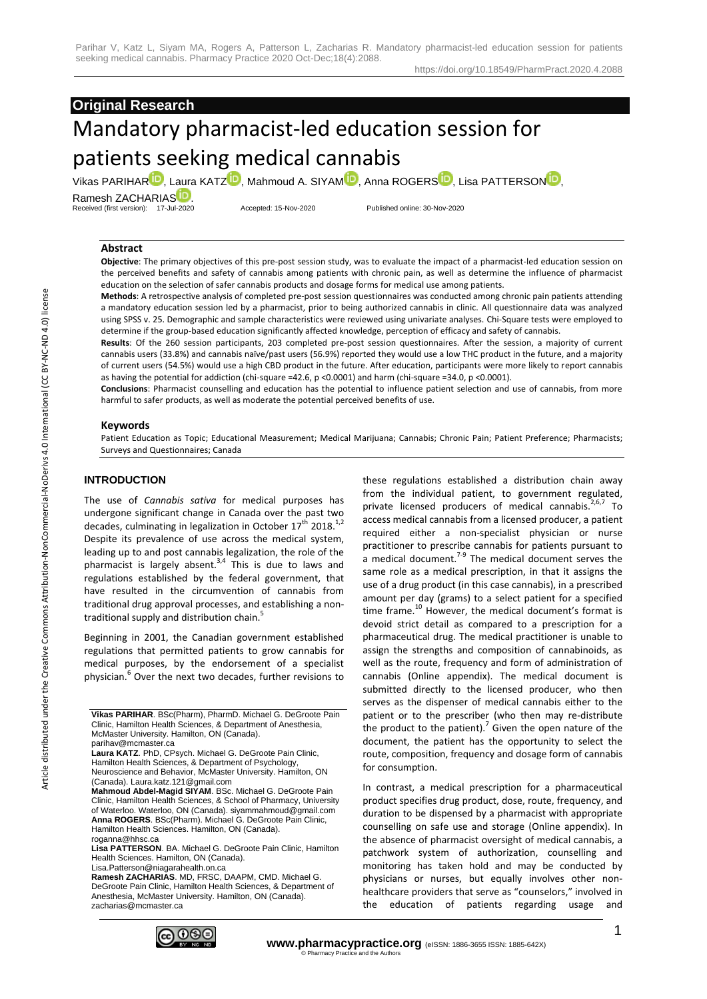# **Original Research**

# Mandatory pharmacist-led education session for patients seeking medical cannabis

Vikas PA[R](https://orcid.org/0000-0002-3369-5908)IHAR<sup>D</sup>, Laura KAT[Z](https://orcid.org/0000-0003-2679-2862)<sup>D</sup>, [M](https://orcid.org/0000-0003-1630-3922)ahmoud A. SIYAM<sup>D</sup>[,](https://orcid.org/0000-0002-1332-339X) Anna ROGERS<sup>D</sup>[,](https://orcid.org/0000-0002-4134-717X) Lisa PATTERSOND,

Ramesh ZACHARIA[S](https://orcid.org/0000-0003-4337-3416)<sup>tid</sup> Received (first version): 17-Jul-2020 Accepted: 15-Nov-2020 Published online: 30-Nov-2020

#### **Abstract**

**Objective**: The primary objectives of this pre-post session study, was to evaluate the impact of a pharmacist-led education session on the perceived benefits and safety of cannabis among patients with chronic pain, as well as determine the influence of pharmacist education on the selection of safer cannabis products and dosage forms for medical use among patients.

**Methods**: A retrospective analysis of completed pre-post session questionnaires was conducted among chronic pain patients attending a mandatory education session led by a pharmacist, prior to being authorized cannabis in clinic. All questionnaire data was analyzed using SPSS v. 25. Demographic and sample characteristics were reviewed using univariate analyses. Chi-Square tests were employed to determine if the group-based education significantly affected knowledge, perception of efficacy and safety of cannabis.

**Results**: Of the 260 session participants, 203 completed pre-post session questionnaires. After the session, a majority of current cannabis users (33.8%) and cannabis naïve/past users (56.9%) reported they would use a low THC product in the future, and a majority of current users (54.5%) would use a high CBD product in the future. After education, participants were more likely to report cannabis as having the potential for addiction (chi-square =42.6, p <0.0001) and harm (chi-square =34.0, p <0.0001).

**Conclusions**: Pharmacist counselling and education has the potential to influence patient selection and use of cannabis, from more harmful to safer products, as well as moderate the potential perceived benefits of use.

#### **Keywords**

Patient Education as Topic; Educational Measurement; Medical Marijuana; Cannabis; Chronic Pain; Patient Preference; Pharmacists; Surveys and Questionnaires; Canada

## **INTRODUCTION**

The use of *Cannabis sativa* for medical purposes has undergone significant change in Canada over the past two decades, culminating in legalization in October  $17^{\text{th}}$  2018.<sup>1,2</sup> Despite its prevalence of use across the medical system, leading up to and post cannabis legalization, the role of the pharmacist is largely absent.<sup>3,4</sup> This is due to laws and regulations established by the federal government, that have resulted in the circumvention of cannabis from traditional drug approval processes, and establishing a nontraditional supply and distribution chain.<sup>5</sup>

Beginning in 2001, the Canadian government established regulations that permitted patients to grow cannabis for medical purposes, by the endorsement of a specialist physician.<sup>6</sup> Over the next two decades, further revisions to

**Laura KATZ**. PhD, CPsych. Michael G. DeGroote Pain Clinic, Hamilton Health Sciences, & Department of Psychology, Neuroscience and Behavior, McMaster University. Hamilton, ON (Canada). Laura.katz.121@gmail.com

**Lisa PATTERSON**. BA. Michael G. DeGroote Pain Clinic, Hamilton Health Sciences. Hamilton, ON (Canada).

Lisa.Patterson@niagarahealth.on.ca **Ramesh ZACHARIAS**. MD, FRSC, DAAPM, CMD. Michael G. DeGroote Pain Clinic, Hamilton Health Sciences, & Department of Anesthesia, McMaster University. Hamilton, ON (Canada). zacharias@mcmaster.ca



these regulations established a distribution chain away from the individual patient, to government regulated, private licensed producers of medical cannabis. $2,6,7$  To access medical cannabis from a licensed producer, a patient required either a non-specialist physician or nurse practitioner to prescribe cannabis for patients pursuant to a medical document. $7-9$  The medical document serves the same role as a medical prescription, in that it assigns the use of a drug product (in this case cannabis), in a prescribed amount per day (grams) to a select patient for a specified time frame.<sup>10</sup> However, the medical document's format is devoid strict detail as compared to a prescription for a pharmaceutical drug. The medical practitioner is unable to assign the strengths and composition of cannabinoids, as well as the route, frequency and form of administration of cannabis (Online appendix). The medical document is submitted directly to the licensed producer, who then serves as the dispenser of medical cannabis either to the patient or to the prescriber (who then may re-distribute the product to the patient).<sup>7</sup> Given the open nature of the document, the patient has the opportunity to select the route, composition, frequency and dosage form of cannabis for consumption.

In contrast, a medical prescription for a pharmaceutical product specifies drug product, dose, route, frequency, and duration to be dispensed by a pharmacist with appropriate counselling on safe use and storage (Online appendix). In the absence of pharmacist oversight of medical cannabis, a patchwork system of authorization, counselling and monitoring has taken hold and may be conducted by physicians or nurses, but equally involves other nonhealthcare providers that serve as "counselors," involved in the education of patients regarding usage and

**Vikas PARIHAR**. BSc(Pharm), PharmD. Michael G. DeGroote Pain Clinic, Hamilton Health Sciences, & Department of Anesthesia, McMaster University. Hamilton, ON (Canada). parihav@mcmaster.ca

**Mahmoud Abdel-Magid SIYAM**. BSc. Michael G. DeGroote Pain Clinic, Hamilton Health Sciences, & School of Pharmacy, University of Waterloo. Waterloo, ON (Canada). siyammahmoud@gmail.com **Anna ROGERS**. BSc(Pharm). Michael G. DeGroote Pain Clinic, Hamilton Health Sciences. Hamilton, ON (Canada). roganna@hhsc.ca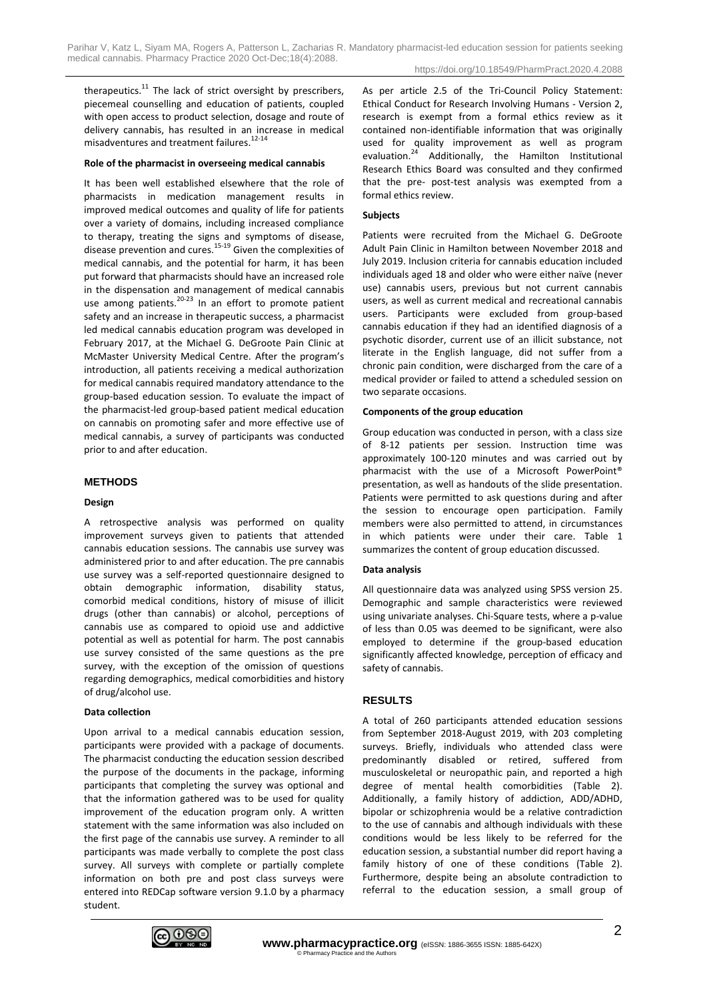therapeutics.<sup>11</sup> The lack of strict oversight by prescribers, piecemeal counselling and education of patients, coupled with open access to product selection, dosage and route of delivery cannabis, has resulted in an increase in medical misadventures and treatment failures.<sup>12-14</sup>

#### **Role of the pharmacist in overseeing medical cannabis**

It has been well established elsewhere that the role of pharmacists in medication management results in improved medical outcomes and quality of life for patients over a variety of domains, including increased compliance to therapy, treating the signs and symptoms of disease, disease prevention and cures. $15-19$  Given the complexities of medical cannabis, and the potential for harm, it has been put forward that pharmacists should have an increased role in the dispensation and management of medical cannabis use among patients. $20-23$  In an effort to promote patient safety and an increase in therapeutic success, a pharmacist led medical cannabis education program was developed in February 2017, at the Michael G. DeGroote Pain Clinic at McMaster University Medical Centre. After the program's introduction, all patients receiving a medical authorization for medical cannabis required mandatory attendance to the group-based education session. To evaluate the impact of the pharmacist-led group-based patient medical education on cannabis on promoting safer and more effective use of medical cannabis, a survey of participants was conducted prior to and after education.

## **METHODS**

#### **Design**

A retrospective analysis was performed on quality improvement surveys given to patients that attended cannabis education sessions. The cannabis use survey was administered prior to and after education. The pre cannabis use survey was a self-reported questionnaire designed to obtain demographic information, disability status, comorbid medical conditions, history of misuse of illicit drugs (other than cannabis) or alcohol, perceptions of cannabis use as compared to opioid use and addictive potential as well as potential for harm. The post cannabis use survey consisted of the same questions as the pre survey, with the exception of the omission of questions regarding demographics, medical comorbidities and history of drug/alcohol use.

#### **Data collection**

Upon arrival to a medical cannabis education session, participants were provided with a package of documents. The pharmacist conducting the education session described the purpose of the documents in the package, informing participants that completing the survey was optional and that the information gathered was to be used for quality improvement of the education program only. A written statement with the same information was also included on the first page of the cannabis use survey. A reminder to all participants was made verbally to complete the post class survey. All surveys with complete or partially complete information on both pre and post class surveys were entered into REDCap software version 9.1.0 by a pharmacy student.

As per article 2.5 of the Tri-Council Policy Statement: Ethical Conduct for Research Involving Humans - Version 2, research is exempt from a formal ethics review as it contained non-identifiable information that was originally used for quality improvement as well as program evaluation.<sup>24</sup> Additionally, the Hamilton Institutional Additionally, the Hamilton Institutional Research Ethics Board was consulted and they confirmed that the pre- post-test analysis was exempted from a formal ethics review.

#### **Subjects**

Patients were recruited from the Michael G. DeGroote Adult Pain Clinic in Hamilton between November 2018 and July 2019. Inclusion criteria for cannabis education included individuals aged 18 and older who were either naïve (never use) cannabis users, previous but not current cannabis users, as well as current medical and recreational cannabis users. Participants were excluded from group-based cannabis education if they had an identified diagnosis of a psychotic disorder, current use of an illicit substance, not literate in the English language, did not suffer from a chronic pain condition, were discharged from the care of a medical provider or failed to attend a scheduled session on two separate occasions.

#### **Components of the group education**

Group education was conducted in person, with a class size of 8-12 patients per session. Instruction time was approximately 100-120 minutes and was carried out by pharmacist with the use of a Microsoft PowerPoint® presentation, as well as handouts of the slide presentation. Patients were permitted to ask questions during and after the session to encourage open participation. Family members were also permitted to attend, in circumstances in which patients were under their care. Table 1 summarizes the content of group education discussed.

#### **Data analysis**

All questionnaire data was analyzed using SPSS version 25. Demographic and sample characteristics were reviewed using univariate analyses. Chi-Square tests, where a p-value of less than 0.05 was deemed to be significant, were also employed to determine if the group-based education significantly affected knowledge, perception of efficacy and safety of cannabis.

# **RESULTS**

A total of 260 participants attended education sessions from September 2018-August 2019, with 203 completing surveys. Briefly, individuals who attended class were predominantly disabled or retired, suffered from musculoskeletal or neuropathic pain, and reported a high degree of mental health comorbidities (Table 2). Additionally, a family history of addiction, ADD/ADHD, bipolar or schizophrenia would be a relative contradiction to the use of cannabis and although individuals with these conditions would be less likely to be referred for the education session, a substantial number did report having a family history of one of these conditions (Table 2). Furthermore, despite being an absolute contradiction to referral to the education session, a small group of

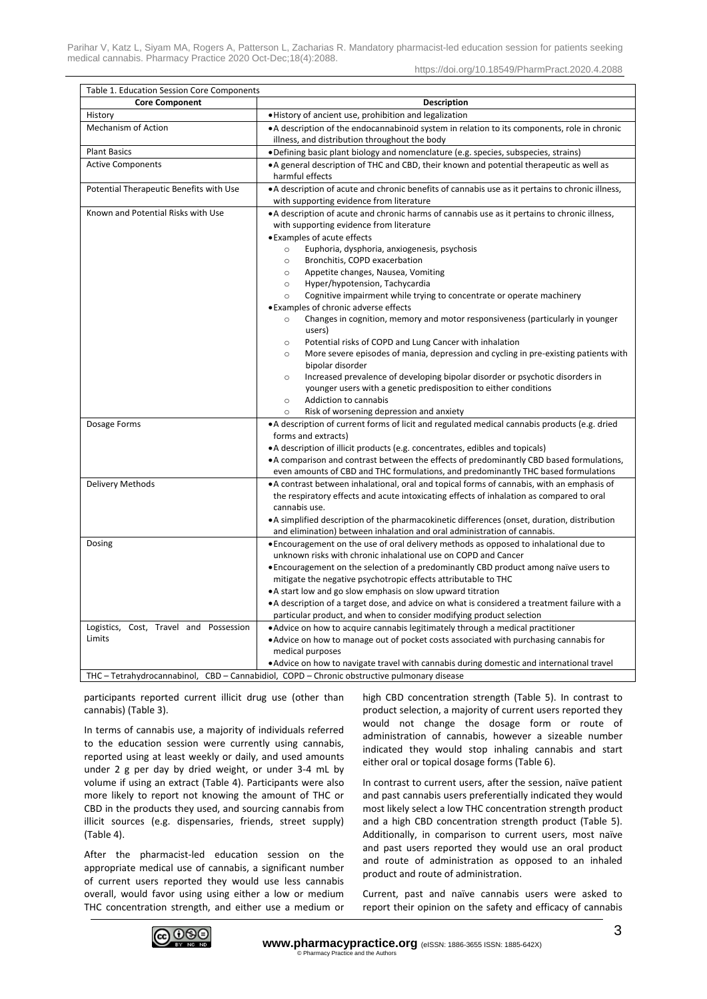| Table 1. Education Session Core Components |                                                                                                                                                                                                                                     |  |  |  |
|--------------------------------------------|-------------------------------------------------------------------------------------------------------------------------------------------------------------------------------------------------------------------------------------|--|--|--|
| <b>Core Component</b>                      | <b>Description</b>                                                                                                                                                                                                                  |  |  |  |
| History                                    | . History of ancient use, prohibition and legalization                                                                                                                                                                              |  |  |  |
| <b>Mechanism of Action</b>                 | • A description of the endocannabinoid system in relation to its components, role in chronic                                                                                                                                        |  |  |  |
|                                            | illness, and distribution throughout the body                                                                                                                                                                                       |  |  |  |
| <b>Plant Basics</b>                        | • Defining basic plant biology and nomenclature (e.g. species, subspecies, strains)                                                                                                                                                 |  |  |  |
| <b>Active Components</b>                   | • A general description of THC and CBD, their known and potential therapeutic as well as<br>harmful effects                                                                                                                         |  |  |  |
| Potential Therapeutic Benefits with Use    | • A description of acute and chronic benefits of cannabis use as it pertains to chronic illness,<br>with supporting evidence from literature                                                                                        |  |  |  |
| Known and Potential Risks with Use         | • A description of acute and chronic harms of cannabis use as it pertains to chronic illness,<br>with supporting evidence from literature<br>• Examples of acute effects<br>Euphoria, dysphoria, anxiogenesis, psychosis<br>$\circ$ |  |  |  |
|                                            | Bronchitis, COPD exacerbation<br>$\circ$                                                                                                                                                                                            |  |  |  |
|                                            | Appetite changes, Nausea, Vomiting<br>$\circ$                                                                                                                                                                                       |  |  |  |
|                                            | Hyper/hypotension, Tachycardia<br>$\circ$                                                                                                                                                                                           |  |  |  |
|                                            | Cognitive impairment while trying to concentrate or operate machinery<br>$\circ$                                                                                                                                                    |  |  |  |
|                                            | • Examples of chronic adverse effects                                                                                                                                                                                               |  |  |  |
|                                            | Changes in cognition, memory and motor responsiveness (particularly in younger<br>$\circ$<br>users)                                                                                                                                 |  |  |  |
|                                            | Potential risks of COPD and Lung Cancer with inhalation<br>$\circ$                                                                                                                                                                  |  |  |  |
|                                            | More severe episodes of mania, depression and cycling in pre-existing patients with<br>$\circ$                                                                                                                                      |  |  |  |
|                                            | bipolar disorder                                                                                                                                                                                                                    |  |  |  |
|                                            | Increased prevalence of developing bipolar disorder or psychotic disorders in<br>$\circ$                                                                                                                                            |  |  |  |
|                                            | younger users with a genetic predisposition to either conditions                                                                                                                                                                    |  |  |  |
|                                            | Addiction to cannabis<br>$\circ$                                                                                                                                                                                                    |  |  |  |
|                                            | Risk of worsening depression and anxiety<br>$\circ$                                                                                                                                                                                 |  |  |  |
| Dosage Forms                               | • A description of current forms of licit and regulated medical cannabis products (e.g. dried                                                                                                                                       |  |  |  |
|                                            | forms and extracts)                                                                                                                                                                                                                 |  |  |  |
|                                            | • A description of illicit products (e.g. concentrates, edibles and topicals)<br>• A comparison and contrast between the effects of predominantly CBD based formulations,                                                           |  |  |  |
|                                            | even amounts of CBD and THC formulations, and predominantly THC based formulations                                                                                                                                                  |  |  |  |
| Delivery Methods                           | • A contrast between inhalational, oral and topical forms of cannabis, with an emphasis of                                                                                                                                          |  |  |  |
|                                            | the respiratory effects and acute intoxicating effects of inhalation as compared to oral                                                                                                                                            |  |  |  |
|                                            | cannabis use.                                                                                                                                                                                                                       |  |  |  |
|                                            | • A simplified description of the pharmacokinetic differences (onset, duration, distribution                                                                                                                                        |  |  |  |
|                                            | and elimination) between inhalation and oral administration of cannabis.                                                                                                                                                            |  |  |  |
| Dosing                                     | • Encouragement on the use of oral delivery methods as opposed to inhalational due to                                                                                                                                               |  |  |  |
|                                            | unknown risks with chronic inhalational use on COPD and Cancer                                                                                                                                                                      |  |  |  |
|                                            | • Encouragement on the selection of a predominantly CBD product among naïve users to                                                                                                                                                |  |  |  |
|                                            | mitigate the negative psychotropic effects attributable to THC                                                                                                                                                                      |  |  |  |
|                                            | • A start low and go slow emphasis on slow upward titration                                                                                                                                                                         |  |  |  |
|                                            | • A description of a target dose, and advice on what is considered a treatment failure with a                                                                                                                                       |  |  |  |
|                                            | particular product, and when to consider modifying product selection                                                                                                                                                                |  |  |  |
| Logistics, Cost, Travel and Possession     | . Advice on how to acquire cannabis legitimately through a medical practitioner                                                                                                                                                     |  |  |  |
| Limits                                     | • Advice on how to manage out of pocket costs associated with purchasing cannabis for                                                                                                                                               |  |  |  |
|                                            | medical purposes                                                                                                                                                                                                                    |  |  |  |
|                                            | • Advice on how to navigate travel with cannabis during domestic and international travel                                                                                                                                           |  |  |  |
|                                            | THC - Tetrahydrocannabinol, CBD - Cannabidiol, COPD - Chronic obstructive pulmonary disease                                                                                                                                         |  |  |  |

participants reported current illicit drug use (other than cannabis) (Table 3).

In terms of cannabis use, a majority of individuals referred to the education session were currently using cannabis, reported using at least weekly or daily, and used amounts under 2 g per day by dried weight, or under 3-4 mL by volume if using an extract (Table 4). Participants were also more likely to report not knowing the amount of THC or CBD in the products they used, and sourcing cannabis from illicit sources (e.g. dispensaries, friends, street supply) (Table 4).

After the pharmacist-led education session on the appropriate medical use of cannabis, a significant number of current users reported they would use less cannabis overall, would favor using using either a low or medium THC concentration strength, and either use a medium or high CBD concentration strength (Table 5). In contrast to product selection, a majority of current users reported they would not change the dosage form or route of administration of cannabis, however a sizeable number indicated they would stop inhaling cannabis and start either oral or topical dosage forms (Table 6).

In contrast to current users, after the session, naïve patient and past cannabis users preferentially indicated they would most likely select a low THC concentration strength product and a high CBD concentration strength product (Table 5). Additionally, in comparison to current users, most naïve and past users reported they would use an oral product and route of administration as opposed to an inhaled product and route of administration.

Current, past and naïve cannabis users were asked to report their opinion on the safety and efficacy of cannabis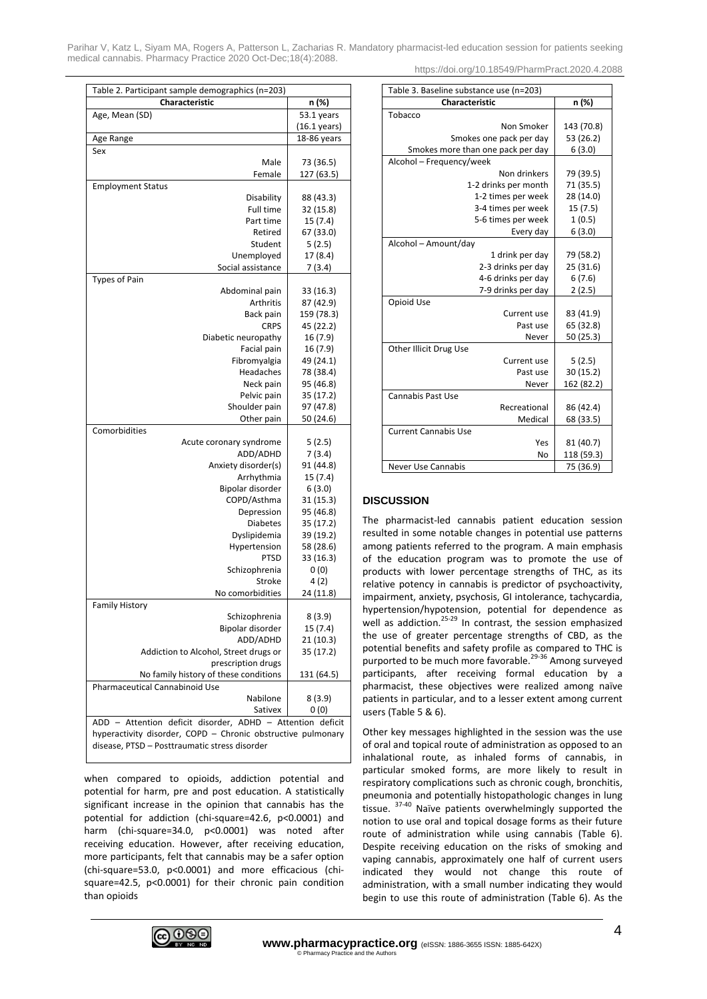Parihar V, Katz L, Siyam MA, Rogers A, Patterson L, Zacharias R. Mandatory pharmacist-led education session for patients seeking medical cannabis. Pharmacy Practice 2020 Oct-Dec;18(4):2088. https://doi.org/10.18549/PharmPract.2020.4.2088

| Table 2. Participant sample demographics (n=203)              |                         |  |  |  |
|---------------------------------------------------------------|-------------------------|--|--|--|
| Characteristic                                                | n (%)                   |  |  |  |
| Age, Mean (SD)                                                | $\overline{5}3.1$ years |  |  |  |
|                                                               | $(16.1 \,\text{years})$ |  |  |  |
| Age Range                                                     | 18-86 years             |  |  |  |
| Sex                                                           |                         |  |  |  |
| Male                                                          | 73 (36.5)               |  |  |  |
| Female                                                        | 127 (63.5)              |  |  |  |
| <b>Employment Status</b>                                      |                         |  |  |  |
| Disability                                                    | 88 (43.3)               |  |  |  |
| <b>Full time</b>                                              | 32 (15.8)               |  |  |  |
| Part time                                                     | 15(7.4)                 |  |  |  |
| Retired                                                       | 67 (33.0)               |  |  |  |
| Student                                                       | 5(2.5)                  |  |  |  |
| Unemployed                                                    | 17 (8.4)                |  |  |  |
| Social assistance                                             | 7(3.4)                  |  |  |  |
| <b>Types of Pain</b>                                          |                         |  |  |  |
| Abdominal pain                                                | 33 (16.3)               |  |  |  |
| Arthritis                                                     | 87 (42.9)<br>159 (78.3) |  |  |  |
| Back pain<br><b>CRPS</b>                                      | 45 (22.2)               |  |  |  |
| Diabetic neuropathy                                           | 16 (7.9)                |  |  |  |
| Facial pain                                                   | 16 (7.9)                |  |  |  |
| Fibromyalgia                                                  | 49 (24.1)               |  |  |  |
| Headaches                                                     | 78 (38.4)               |  |  |  |
| Neck pain                                                     | 95 (46.8)               |  |  |  |
| Pelvic pain                                                   | 35 (17.2)               |  |  |  |
| Shoulder pain                                                 | 97 (47.8)               |  |  |  |
| Other pain                                                    | 50 (24.6)               |  |  |  |
| Comorbidities                                                 |                         |  |  |  |
| Acute coronary syndrome                                       | 5(2.5)                  |  |  |  |
| ADD/ADHD                                                      | 7(3.4)                  |  |  |  |
| Anxiety disorder(s)                                           | 91 (44.8)               |  |  |  |
| Arrhythmia                                                    | 15(7.4)                 |  |  |  |
| Bipolar disorder                                              | 6(3.0)                  |  |  |  |
| COPD/Asthma                                                   | 31(15.3)                |  |  |  |
| Depression                                                    | 95 (46.8)               |  |  |  |
| <b>Diabetes</b>                                               | 35 (17.2)               |  |  |  |
| Dyslipidemia                                                  | 39 (19.2)               |  |  |  |
| Hypertension<br>PTSD                                          | 58 (28.6)<br>33 (16.3)  |  |  |  |
| Schizophrenia                                                 | 0(0)                    |  |  |  |
| Stroke                                                        | 4(2)                    |  |  |  |
| No comorbidities                                              | 24 (11.8)               |  |  |  |
| <b>Family History</b>                                         |                         |  |  |  |
| Schizophrenia                                                 | 8 (3.9)                 |  |  |  |
| Bipolar disorder                                              | 15 (7.4)                |  |  |  |
| ADD/ADHD                                                      | 21(10.3)                |  |  |  |
| Addiction to Alcohol, Street drugs or                         | 35 (17.2)               |  |  |  |
| prescription drugs                                            |                         |  |  |  |
| No family history of these conditions                         | 131 (64.5)              |  |  |  |
| Pharmaceutical Cannabinoid Use                                |                         |  |  |  |
| Nabilone                                                      | 8 (3.9)                 |  |  |  |
| Sativex                                                       | 0(0)                    |  |  |  |
| ADD - Attention deficit disorder, ADHD - Attention<br>deficit |                         |  |  |  |
| hyperactivity disorder, COPD - Chronic obstructive pulmonary  |                         |  |  |  |
| disease, PTSD - Posttraumatic stress disorder                 |                         |  |  |  |

when compared to opioids, addiction potential and potential for harm, pre and post education. A statistically significant increase in the opinion that cannabis has the potential for addiction (chi-square=42.6, p<0.0001) and harm (chi-square=34.0, p<0.0001) was noted after receiving education. However, after receiving education, more participants, felt that cannabis may be a safer option (chi-square=53.0, p<0.0001) and more efficacious (chisquare=42.5, p<0.0001) for their chronic pain condition than opioids

| Table 3. Baseline substance use (n=203) |            |  |  |
|-----------------------------------------|------------|--|--|
| Characteristic                          | n (%)      |  |  |
| Tobacco                                 |            |  |  |
| Non Smoker                              | 143 (70.8) |  |  |
| Smokes one pack per day                 | 53 (26.2)  |  |  |
| Smokes more than one pack per day       | 6(3.0)     |  |  |
| Alcohol - Frequency/week                |            |  |  |
| Non drinkers                            | 79 (39.5)  |  |  |
| 1-2 drinks per month                    | 71 (35.5)  |  |  |
| 1-2 times per week                      | 28 (14.0)  |  |  |
| 3-4 times per week                      | 15(7.5)    |  |  |
| 5-6 times per week                      | 1(0.5)     |  |  |
| Every day                               | 6(3.0)     |  |  |
| Alcohol - Amount/day                    |            |  |  |
| 1 drink per day                         | 79 (58.2)  |  |  |
| 2-3 drinks per day                      | 25 (31.6)  |  |  |
| 4-6 drinks per day                      | 6(7.6)     |  |  |
| 7-9 drinks per day                      | 2(2.5)     |  |  |
| Opioid Use                              |            |  |  |
| Current use                             | 83 (41.9)  |  |  |
| Past use                                | 65 (32.8)  |  |  |
| Never                                   | 50 (25.3)  |  |  |
| Other Illicit Drug Use                  |            |  |  |
| Current use                             | 5(2.5)     |  |  |
| Past use                                | 30 (15.2)  |  |  |
| Never                                   | 162 (82.2) |  |  |
| Cannabis Past Use                       |            |  |  |
| Recreational                            | 86 (42.4)  |  |  |
| Medical                                 | 68 (33.5)  |  |  |
| <b>Current Cannabis Use</b>             |            |  |  |
| Yes                                     | 81 (40.7)  |  |  |
| No                                      | 118 (59.3) |  |  |
| <b>Never Use Cannabis</b>               | 75 (36.9)  |  |  |

# **DISCUSSION**

The pharmacist-led cannabis patient education session resulted in some notable changes in potential use patterns among patients referred to the program. A main emphasis of the education program was to promote the use of products with lower percentage strengths of THC, as its relative potency in cannabis is predictor of psychoactivity, impairment, anxiety, psychosis, GI intolerance, tachycardia, hypertension/hypotension, potential for dependence as well as addiction.<sup>25-29</sup> In contrast, the session emphasized the use of greater percentage strengths of CBD, as the potential benefits and safety profile as compared to THC is purported to be much more favorable.<sup>29-36</sup> Among surveyed participants, after receiving formal education by a pharmacist, these objectives were realized among naïve patients in particular, and to a lesser extent among current users (Table 5 & 6).

Other key messages highlighted in the session was the use of oral and topical route of administration as opposed to an inhalational route, as inhaled forms of cannabis, in particular smoked forms, are more likely to result in respiratory complications such as chronic cough, bronchitis, pneumonia and potentially histopathologic changes in lung tissue. <sup>37-40</sup> Naïve patients overwhelmingly supported the notion to use oral and topical dosage forms as their future route of administration while using cannabis (Table 6). Despite receiving education on the risks of smoking and vaping cannabis, approximately one half of current users indicated they would not change this route of administration, with a small number indicating they would begin to use this route of administration (Table 6). As the

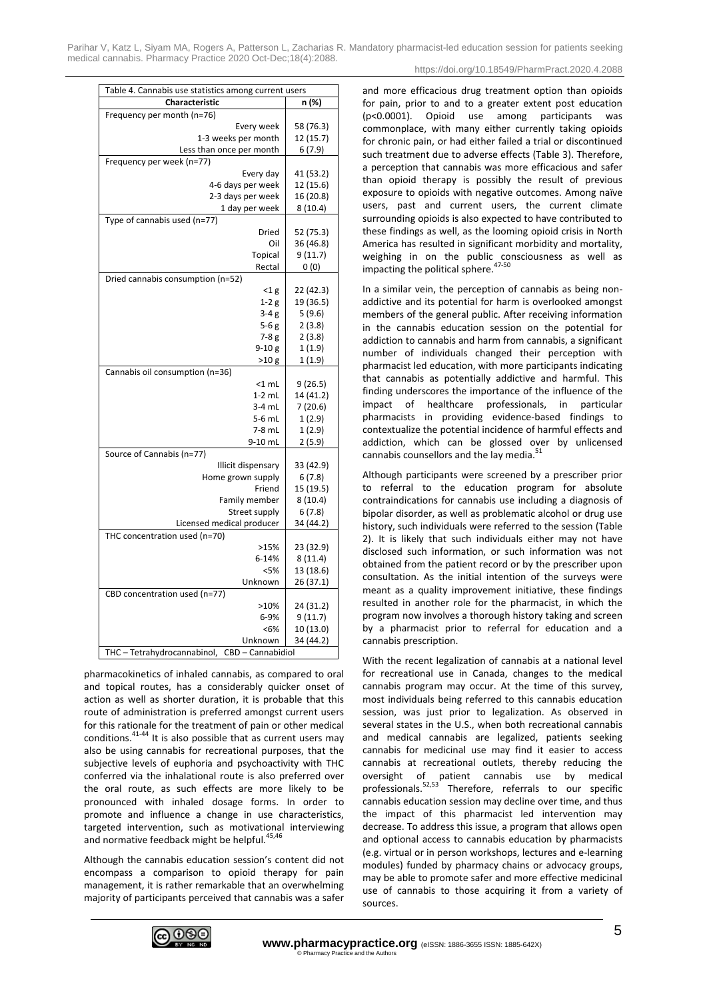| Table 4. Cannabis use statistics among current users |                     |  |  |
|------------------------------------------------------|---------------------|--|--|
| Characteristic                                       | n (%)               |  |  |
| Frequency per month (n=76)                           |                     |  |  |
| Every week                                           | 58 (76.3)           |  |  |
| 1-3 weeks per month                                  | 12 (15.7)           |  |  |
| Less than once per month                             | 6(7.9)              |  |  |
| Frequency per week (n=77)                            |                     |  |  |
| Every day                                            | 41 (53.2)           |  |  |
| 4-6 days per week                                    | 12 (15.6)           |  |  |
| 2-3 days per week                                    | 16 (20.8)           |  |  |
| 1 day per week                                       | 8(10.4)             |  |  |
| Type of cannabis used (n=77)                         |                     |  |  |
| Dried                                                | 52 (75.3)           |  |  |
| Oil                                                  | 36 (46.8)           |  |  |
| Topical                                              | 9(11.7)             |  |  |
| Rectal                                               | 0(0)                |  |  |
| Dried cannabis consumption (n=52)                    |                     |  |  |
| $<$ 1 $g$                                            | 22 (42.3)           |  |  |
| $1-2g$                                               | 19 (36.5)           |  |  |
| $3-4g$                                               | 5(9.6)              |  |  |
| $5-6g$                                               | 2(3.8)              |  |  |
| $7-8g$                                               | 2(3.8)              |  |  |
| $9-10g$                                              | 1(1.9)              |  |  |
| >10 g                                                | 1(1.9)              |  |  |
| Cannabis oil consumption (n=36)                      |                     |  |  |
| $<$ 1 $mL$                                           | 9(26.5)             |  |  |
| $1-2$ mL                                             | 14 (41.2)           |  |  |
| $3-4$ mL                                             | 7(20.6)             |  |  |
| 5-6 mL                                               | 1(2.9)              |  |  |
| 7-8 mL                                               | 1(2.9)              |  |  |
| 9-10 mL                                              | 2(5.9)              |  |  |
| Source of Cannabis (n=77)                            |                     |  |  |
| Illicit dispensary                                   | 33 (42.9)           |  |  |
| Home grown supply<br>Friend                          | 6(7.8)<br>15 (19.5) |  |  |
| Family member                                        | 8(10.4)             |  |  |
| Street supply                                        | 6(7.8)              |  |  |
| Licensed medical producer                            | 34 (44.2)           |  |  |
| THC concentration used (n=70)                        |                     |  |  |
| >15%                                                 | 23 (32.9)           |  |  |
| 6-14%                                                | 8(11.4)             |  |  |
| < 5%                                                 | 13 (18.6)           |  |  |
| Unknown                                              | 26 (37.1)           |  |  |
| CBD concentration used (n=77)                        |                     |  |  |
| >10%                                                 | 24 (31.2)           |  |  |
| 6-9%                                                 | 9(11.7)             |  |  |
| <6%                                                  | 10 (13.0)           |  |  |
| Unknown                                              | 34 (44.2)           |  |  |
| THC-Tetrahydrocannabinol,<br>CBD - Cannabidiol       |                     |  |  |

pharmacokinetics of inhaled cannabis, as compared to oral and topical routes, has a considerably quicker onset of action as well as shorter duration, it is probable that this route of administration is preferred amongst current users for this rationale for the treatment of pain or other medical conditions.41-44 It is also possible that as current users may also be using cannabis for recreational purposes, that the subjective levels of euphoria and psychoactivity with THC conferred via the inhalational route is also preferred over the oral route, as such effects are more likely to be pronounced with inhaled dosage forms. In order to promote and influence a change in use characteristics, targeted intervention, such as motivational interviewing and normative feedback might be helpful. $45,46$ 

Although the cannabis education session's content did not encompass a comparison to opioid therapy for pain management, it is rather remarkable that an overwhelming majority of participants perceived that cannabis was a safer



and more efficacious drug treatment option than opioids for pain, prior to and to a greater extent post education (p<0.0001). Opioid use among participants was commonplace, with many either currently taking opioids for chronic pain, or had either failed a trial or discontinued such treatment due to adverse effects (Table 3). Therefore, a perception that cannabis was more efficacious and safer

than opioid therapy is possibly the result of previous exposure to opioids with negative outcomes. Among naïve users, past and current users, the current climate surrounding opioids is also expected to have contributed to these findings as well, as the looming opioid crisis in North America has resulted in significant morbidity and mortality, weighing in on the public consciousness as well as impacting the political sphere. $47-50$ 

In a similar vein, the perception of cannabis as being nonaddictive and its potential for harm is overlooked amongst members of the general public. After receiving information in the cannabis education session on the potential for addiction to cannabis and harm from cannabis, a significant number of individuals changed their perception with pharmacist led education, with more participants indicating that cannabis as potentially addictive and harmful. This finding underscores the importance of the influence of the impact of healthcare professionals, in particular pharmacists in providing evidence-based findings to contextualize the potential incidence of harmful effects and addiction, which can be glossed over by unlicensed cannabis counsellors and the lay media.<sup>51</sup>

Although participants were screened by a prescriber prior to referral to the education program for absolute contraindications for cannabis use including a diagnosis of bipolar disorder, as well as problematic alcohol or drug use history, such individuals were referred to the session (Table 2). It is likely that such individuals either may not have disclosed such information, or such information was not obtained from the patient record or by the prescriber upon consultation. As the initial intention of the surveys were meant as a quality improvement initiative, these findings resulted in another role for the pharmacist, in which the program now involves a thorough history taking and screen by a pharmacist prior to referral for education and a cannabis prescription.

With the recent legalization of cannabis at a national level for recreational use in Canada, changes to the medical cannabis program may occur. At the time of this survey, most individuals being referred to this cannabis education session, was just prior to legalization. As observed in several states in the U.S., when both recreational cannabis and medical cannabis are legalized, patients seeking cannabis for medicinal use may find it easier to access cannabis at recreational outlets, thereby reducing the oversight of patient cannabis use by medical professionals.52,53 Therefore, referrals to our specific cannabis education session may decline over time, and thus the impact of this pharmacist led intervention may decrease. To address this issue, a program that allows open and optional access to cannabis education by pharmacists (e.g. virtual or in person workshops, lectures and e-learning modules) funded by pharmacy chains or advocacy groups, may be able to promote safer and more effective medicinal use of cannabis to those acquiring it from a variety of sources.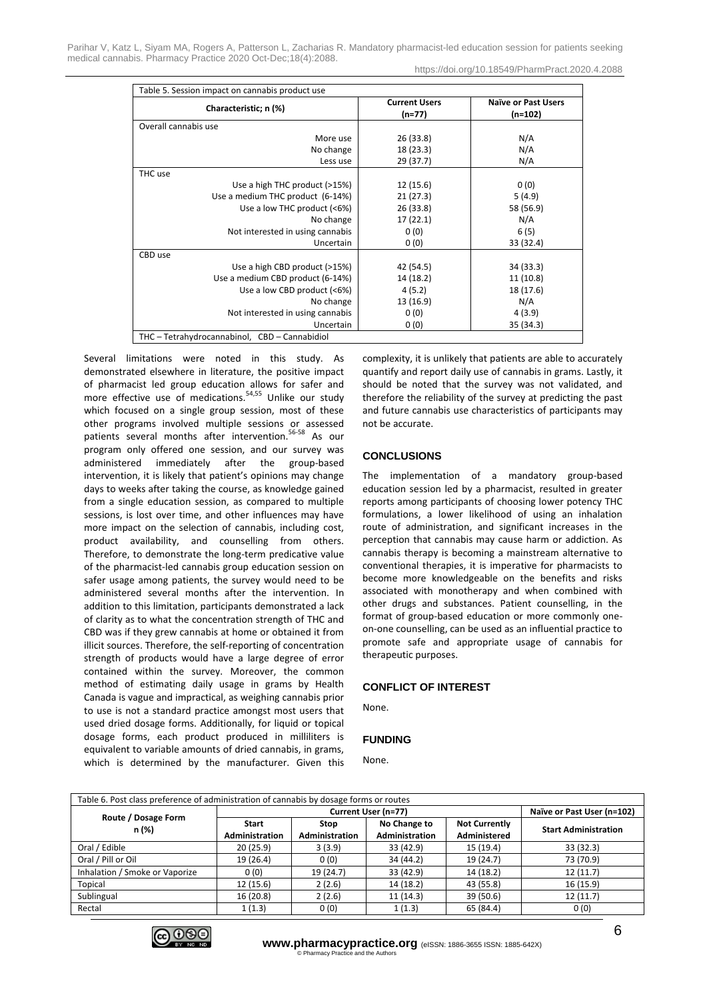Parihar V, Katz L, Siyam MA, Rogers A, Patterson L, Zacharias R. Mandatory pharmacist-led education session for patients seeking medical cannabis. Pharmacy Practice 2020 Oct-Dec;18(4):2088. https://doi.org/10.18549/PharmPract.2020.4.2088

| Table 5. Session impact on cannabis product use |                                  |                                       |  |  |  |
|-------------------------------------------------|----------------------------------|---------------------------------------|--|--|--|
| Characteristic; n (%)                           | <b>Current Users</b><br>$(n=77)$ | <b>Naïve or Past Users</b><br>(n=102) |  |  |  |
| Overall cannabis use                            |                                  |                                       |  |  |  |
| More use                                        | 26 (33.8)                        | N/A                                   |  |  |  |
| No change                                       | 18 (23.3)                        | N/A                                   |  |  |  |
| Less use                                        | 29 (37.7)                        | N/A                                   |  |  |  |
| THC use                                         |                                  |                                       |  |  |  |
| Use a high THC product (>15%)                   | 12 (15.6)                        | 0(0)                                  |  |  |  |
| Use a medium THC product (6-14%)                | 21(27.3)                         | 5(4.9)                                |  |  |  |
| Use a low THC product (<6%)                     | 26 (33.8)                        | 58 (56.9)                             |  |  |  |
| No change                                       | 17(22.1)                         | N/A                                   |  |  |  |
| Not interested in using cannabis                | 0(0)                             | 6(5)                                  |  |  |  |
| Uncertain                                       | 0(0)                             | 33 (32.4)                             |  |  |  |
| CBD use                                         |                                  |                                       |  |  |  |
| Use a high CBD product (>15%)                   | 42 (54.5)                        | 34 (33.3)                             |  |  |  |
| Use a medium CBD product (6-14%)                | 14 (18.2)                        | 11 (10.8)                             |  |  |  |
| Use a low CBD product (<6%)                     | 4(5.2)                           | 18 (17.6)                             |  |  |  |
| No change                                       | 13 (16.9)                        | N/A                                   |  |  |  |
| Not interested in using cannabis                | 0(0)                             | 4(3.9)                                |  |  |  |
| Uncertain                                       | 0(0)                             | 35 (34.3)                             |  |  |  |
| THC - Tetrahydrocannabinol, CBD - Cannabidiol   |                                  |                                       |  |  |  |

Several limitations were noted in this study. As demonstrated elsewhere in literature, the positive impact of pharmacist led group education allows for safer and more effective use of medications.<sup>54,55</sup> Unlike our study which focused on a single group session, most of these other programs involved multiple sessions or assessed patients several months after intervention.56-58 As our program only offered one session, and our survey was administered immediately after the group-based intervention, it is likely that patient's opinions may change days to weeks after taking the course, as knowledge gained from a single education session, as compared to multiple sessions, is lost over time, and other influences may have more impact on the selection of cannabis, including cost, product availability, and counselling from others. Therefore, to demonstrate the long-term predicative value of the pharmacist-led cannabis group education session on safer usage among patients, the survey would need to be administered several months after the intervention. In addition to this limitation, participants demonstrated a lack of clarity as to what the concentration strength of THC and CBD was if they grew cannabis at home or obtained it from illicit sources. Therefore, the self-reporting of concentration strength of products would have a large degree of error contained within the survey. Moreover, the common method of estimating daily usage in grams by Health Canada is vague and impractical, as weighing cannabis prior to use is not a standard practice amongst most users that used dried dosage forms. Additionally, for liquid or topical dosage forms, each product produced in milliliters is equivalent to variable amounts of dried cannabis, in grams, which is determined by the manufacturer. Given this

complexity, it is unlikely that patients are able to accurately quantify and report daily use of cannabis in grams. Lastly, it should be noted that the survey was not validated, and therefore the reliability of the survey at predicting the past and future cannabis use characteristics of participants may not be accurate.

# **CONCLUSIONS**

The implementation of a mandatory group-based education session led by a pharmacist, resulted in greater reports among participants of choosing lower potency THC formulations, a lower likelihood of using an inhalation route of administration, and significant increases in the perception that cannabis may cause harm or addiction. As cannabis therapy is becoming a mainstream alternative to conventional therapies, it is imperative for pharmacists to become more knowledgeable on the benefits and risks associated with monotherapy and when combined with other drugs and substances. Patient counselling, in the format of group-based education or more commonly oneon-one counselling, can be used as an influential practice to promote safe and appropriate usage of cannabis for therapeutic purposes.

# **CONFLICT OF INTEREST**

None.

#### **FUNDING**

None.

| Table 6. Post class preference of administration of cannabis by dosage forms or routes |                                       |                               |                                |                                      |                             |  |  |
|----------------------------------------------------------------------------------------|---------------------------------------|-------------------------------|--------------------------------|--------------------------------------|-----------------------------|--|--|
|                                                                                        | Current User (n=77)                   |                               |                                |                                      | Naïve or Past User (n=102)  |  |  |
| Route / Dosage Form<br>n (%)                                                           | <b>Start</b><br><b>Administration</b> | <b>Stop</b><br>Administration | No Change to<br>Administration | <b>Not Currently</b><br>Administered | <b>Start Administration</b> |  |  |
| Oral / Edible                                                                          | 20(25.9)                              | 3(3.9)                        | 33 (42.9)                      | 15 (19.4)                            | 33 (32.3)                   |  |  |
| Oral / Pill or Oil                                                                     | 19 (26.4)                             | 0(0)                          | 34 (44.2)                      | 19 (24.7)                            | 73 (70.9)                   |  |  |
| Inhalation / Smoke or Vaporize                                                         | 0(0)                                  | 19 (24.7)                     | 33 (42.9)                      | 14 (18.2)                            | 12(11.7)                    |  |  |
| Topical                                                                                | 12(15.6)                              | 2(2.6)                        | 14 (18.2)                      | 43 (55.8)                            | 16 (15.9)                   |  |  |
| Sublingual                                                                             | 16 (20.8)                             | 2(2.6)                        | 11(14.3)                       | 39 (50.6)                            | 12(11.7)                    |  |  |
| Rectal                                                                                 | 1(1.3)                                | 0(0)                          | 1(1.3)                         | 65 (84.4)                            | 0(0)                        |  |  |

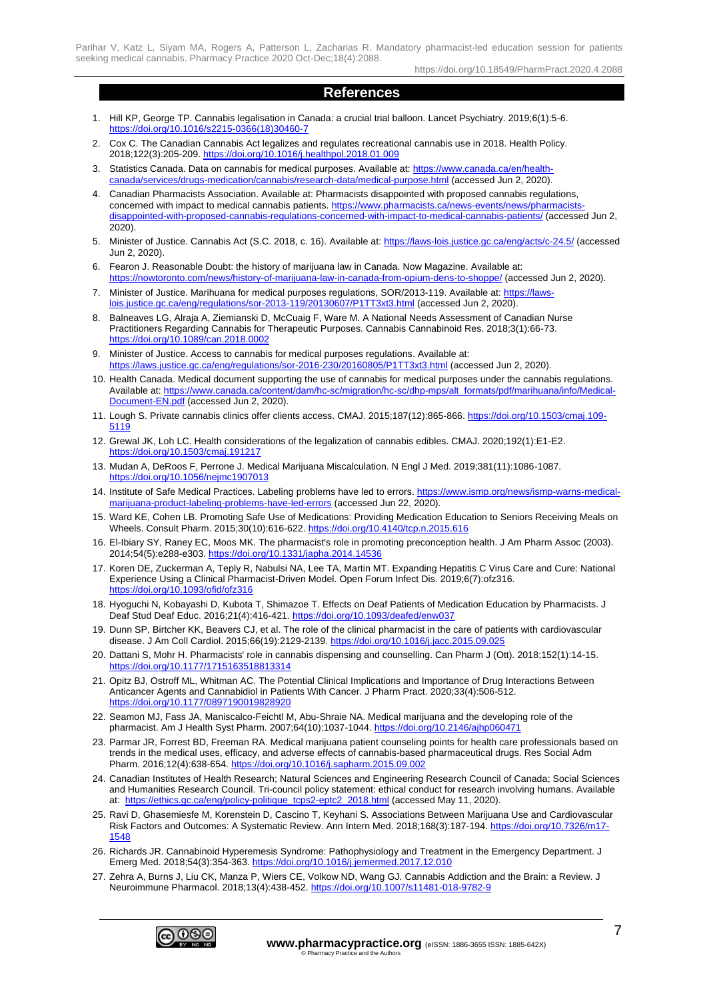# **References**

- 1. Hill KP, George TP. Cannabis legalisation in Canada: a crucial trial balloon. Lancet Psychiatry. 2019;6(1):5-6. [https://doi.org/10.1016/s2215-0366\(18\)30460-7](https://doi.org/10.1016/s2215-0366(18)30460-7)
- 2. Cox C. The Canadian Cannabis Act legalizes and regulates recreational cannabis use in 2018. Health Policy. 2018;122(3):205-209[. https://doi.org/10.1016/j.healthpol.2018.01.009](https://doi.org/10.1016/j.healthpol.2018.01.009)
- 3. Statistics Canada. Data on cannabis for medical purposes. Available at: [https://www.canada.ca/en/health](https://www.canada.ca/en/health-canada/services/drugs-medication/cannabis/research-data/medical-purpose.html)[canada/services/drugs-medication/cannabis/research-data/medical-purpose.html](https://www.canada.ca/en/health-canada/services/drugs-medication/cannabis/research-data/medical-purpose.html) (accessed Jun 2, 2020).
- 4. Canadian Pharmacists Association. Available at: Pharmacists disappointed with proposed cannabis regulations, concerned with impact to medical cannabis patients. https://www.pharmacists.ca/news-events/news/pharmacisty [disappointed-with-proposed-cannabis-regulations-concerned-with-impact-to-medical-cannabis-patients/](https://www.pharmacists.ca/news-events/news/pharmacists-disappointed-with-proposed-cannabis-regulations-concerned-with-impact-to-medical-cannabis-patients/) (accessed Jun 2, 2020).
- 5. Minister of Justice. Cannabis Act (S.C. 2018, c. 16). Available at[: https://laws-lois.justice.gc.ca/eng/acts/c-24.5/](https://laws-lois.justice.gc.ca/eng/acts/c-24.5/) (accessed Jun 2, 2020).
- 6. Fearon J. Reasonable Doubt: the history of marijuana law in Canada. Now Magazine. Available at: <https://nowtoronto.com/news/history-of-marijuana-law-in-canada-from-opium-dens-to-shoppe/> (accessed Jun 2, 2020).
- 7. Minister of Justice. Marihuana for medical purposes regulations, SOR/2013-119. Available at[: https://laws](https://laws-lois.justice.gc.ca/eng/regulations/sor-2013-119/20130607/P1TT3xt3.html)[lois.justice.gc.ca/eng/regulations/sor-2013-119/20130607/P1TT3xt3.html](https://laws-lois.justice.gc.ca/eng/regulations/sor-2013-119/20130607/P1TT3xt3.html) (accessed Jun 2, 2020).
- 8. Balneaves LG, Alraja A, Ziemianski D, McCuaig F, Ware M. A National Needs Assessment of Canadian Nurse Practitioners Regarding Cannabis for Therapeutic Purposes. Cannabis Cannabinoid Res. 2018;3(1):66-73. <https://doi.org/10.1089/can.2018.0002>
- 9. Minister of Justice. Access to cannabis for medical purposes regulations. Available at: <https://laws.justice.gc.ca/eng/regulations/sor-2016-230/20160805/P1TT3xt3.html> (accessed Jun 2, 2020).
- 10. Health Canada. Medical document supporting the use of cannabis for medical purposes under the cannabis regulations. Available at: [https://www.canada.ca/content/dam/hc-sc/migration/hc-sc/dhp-mps/alt\\_formats/pdf/marihuana/info/Medical-](https://www.canada.ca/content/dam/hc-sc/migration/hc-sc/dhp-mps/alt_formats/pdf/marihuana/info/Medical-Document-EN.pdf)[Document-EN.pdf](https://www.canada.ca/content/dam/hc-sc/migration/hc-sc/dhp-mps/alt_formats/pdf/marihuana/info/Medical-Document-EN.pdf) (accessed Jun 2, 2020).
- 11. Lough S. Private cannabis clinics offer clients access. CMAJ. 2015;187(12):865-866. [https://doi.org/10.1503/cmaj.109-](https://doi.org/10.1503/cmaj.109-5119) [5119](https://doi.org/10.1503/cmaj.109-5119)
- 12. Grewal JK, Loh LC. Health considerations of the legalization of cannabis edibles. CMAJ. 2020;192(1):E1-E2. <https://doi.org/10.1503/cmaj.191217>
- 13. Mudan A, DeRoos F, Perrone J. Medical Marijuana Miscalculation. N Engl J Med. 2019;381(11):1086-1087. <https://doi.org/10.1056/nejmc1907013>
- 14. Institute of Safe Medical Practices. Labeling problems have led to errors[. https://www.ismp.org/news/ismp-warns-medical](https://www.ismp.org/news/ismp-warns-medical-marijuana-product-labeling-problems-have-led-errors)[marijuana-product-labeling-problems-have-led-errors](https://www.ismp.org/news/ismp-warns-medical-marijuana-product-labeling-problems-have-led-errors) (accessed Jun 22, 2020).
- 15. Ward KE, Cohen LB. Promoting Safe Use of Medications: Providing Medication Education to Seniors Receiving Meals on Wheels. Consult Pharm. 2015;30(10):616-622.<https://doi.org/10.4140/tcp.n.2015.616>
- 16. El-Ibiary SY, Raney EC, Moos MK. The pharmacist's role in promoting preconception health. J Am Pharm Assoc (2003). 2014;54(5):e288-e303.<https://doi.org/10.1331/japha.2014.14536>
- 17. Koren DE, Zuckerman A, Teply R, Nabulsi NA, Lee TA, Martin MT. Expanding Hepatitis C Virus Care and Cure: National Experience Using a Clinical Pharmacist-Driven Model. Open Forum Infect Dis. 2019;6(7):ofz316. <https://doi.org/10.1093/ofid/ofz316>
- 18. Hyoguchi N, Kobayashi D, Kubota T, Shimazoe T. Effects on Deaf Patients of Medication Education by Pharmacists. J Deaf Stud Deaf Educ. 2016;21(4):416-421[. https://doi.org/10.1093/deafed/enw037](https://doi.org/10.1093/deafed/enw037)
- 19. Dunn SP, Birtcher KK, Beavers CJ, et al. The role of the clinical pharmacist in the care of patients with cardiovascular disease. J Am Coll Cardiol. 2015;66(19):2129-2139[. https://doi.org/10.1016/j.jacc.2015.09.025](https://doi.org/10.1016/j.jacc.2015.09.025)
- 20. Dattani S, Mohr H. Pharmacists' role in cannabis dispensing and counselling. Can Pharm J (Ott). 2018;152(1):14-15. <https://doi.org/10.1177/1715163518813314>
- 21. Opitz BJ, Ostroff ML, Whitman AC. The Potential Clinical Implications and Importance of Drug Interactions Between Anticancer Agents and Cannabidiol in Patients With Cancer. J Pharm Pract. 2020;33(4):506-512. <https://doi.org/10.1177/0897190019828920>
- 22. Seamon MJ, Fass JA, Maniscalco-Feichtl M, Abu-Shraie NA. Medical marijuana and the developing role of the pharmacist. Am J Health Syst Pharm. 2007;64(10):1037-1044[. https://doi.org/10.2146/ajhp060471](https://doi.org/10.2146/ajhp060471)
- 23. Parmar JR, Forrest BD, Freeman RA. Medical marijuana patient counseling points for health care professionals based on trends in the medical uses, efficacy, and adverse effects of cannabis-based pharmaceutical drugs. Res Social Adm Pharm. 2016;12(4):638-654.<https://doi.org/10.1016/j.sapharm.2015.09.002>
- 24. Canadian Institutes of Health Research; Natural Sciences and Engineering Research Council of Canada; Social Sciences and Humanities Research Council. Tri-council policy statement: ethical conduct for research involving humans. Available at: [https://ethics.gc.ca/eng/policy-politique\\_tcps2-eptc2\\_2018.html](https://ethics.gc.ca/eng/policy-politique_tcps2-eptc2_2018.html) (accessed May 11, 2020).
- 25. Ravi D, Ghasemiesfe M, Korenstein D, Cascino T, Keyhani S. Associations Between Marijuana Use and Cardiovascular Risk Factors and Outcomes: A Systematic Review. Ann Intern Med. 2018;168(3):187-194. [https://doi.org/10.7326/m17-](https://doi.org/10.7326/m17-1548) [1548](https://doi.org/10.7326/m17-1548)
- 26. Richards JR. Cannabinoid Hyperemesis Syndrome: Pathophysiology and Treatment in the Emergency Department. J Emerg Med. 2018;54(3):354-363[. https://doi.org/10.1016/j.jemermed.2017.12.010](https://doi.org/10.1016/j.jemermed.2017.12.010)
- 27. Zehra A, Burns J, Liu CK, Manza P, Wiers CE, Volkow ND, Wang GJ. Cannabis Addiction and the Brain: a Review. J Neuroimmune Pharmacol. 2018;13(4):438-452.<https://doi.org/10.1007/s11481-018-9782-9>

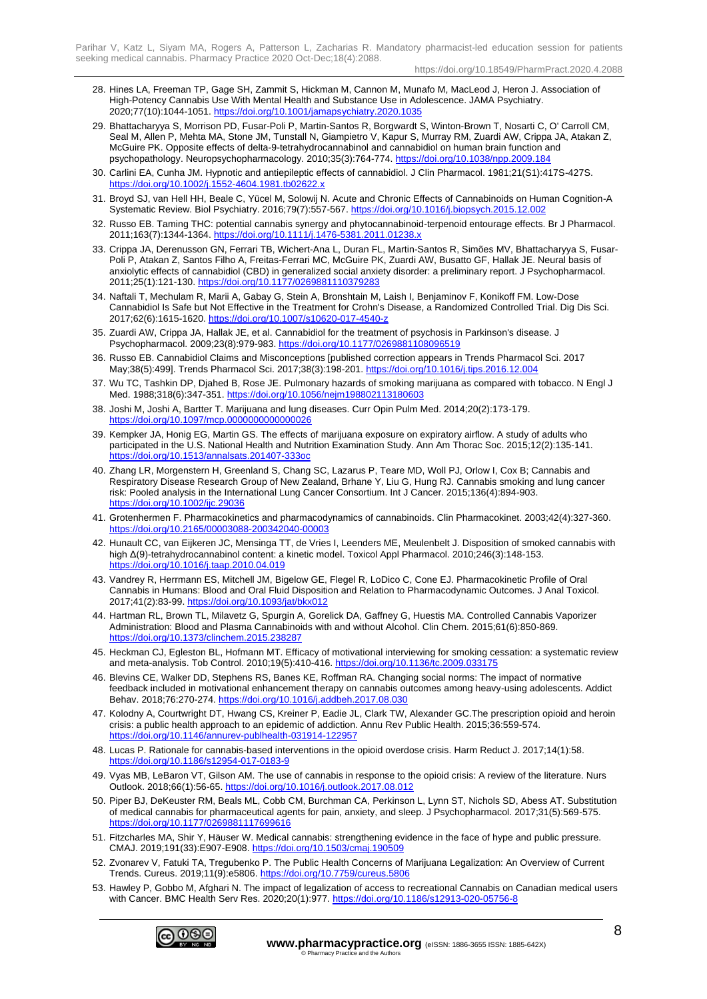- 28. Hines LA, Freeman TP, Gage SH, Zammit S, Hickman M, Cannon M, Munafo M, MacLeod J, Heron J. Association of High-Potency Cannabis Use With Mental Health and Substance Use in Adolescence. JAMA Psychiatry. 2020;77(10):1044-1051.<https://doi.org/10.1001/jamapsychiatry.2020.1035>
- 29. Bhattacharyya S, Morrison PD, Fusar-Poli P, Martin-Santos R, Borgwardt S, Winton-Brown T, Nosarti C, O' Carroll CM, Seal M, Allen P, Mehta MA, Stone JM, Tunstall N, Giampietro V, Kapur S, Murray RM, Zuardi AW, Crippa JA, Atakan Z, McGuire PK. Opposite effects of delta-9-tetrahydrocannabinol and cannabidiol on human brain function and psychopathology. Neuropsychopharmacology. 2010;35(3):764-774.<https://doi.org/10.1038/npp.2009.184>
- 30. Carlini EA, Cunha JM. Hypnotic and antiepileptic effects of cannabidiol. J Clin Pharmacol. 1981;21(S1):417S-427S. <https://doi.org/10.1002/j.1552-4604.1981.tb02622.x>
- 31. Broyd SJ, van Hell HH, Beale C, Yücel M, Solowij N. Acute and Chronic Effects of Cannabinoids on Human Cognition-A Systematic Review. Biol Psychiatry. 2016;79(7):557-567.<https://doi.org/10.1016/j.biopsych.2015.12.002>
- 32. Russo EB. Taming THC: potential cannabis synergy and phytocannabinoid-terpenoid entourage effects. Br J Pharmacol. 2011;163(7):1344-1364.<https://doi.org/10.1111/j.1476-5381.2011.01238.x>
- 33. Crippa JA, Derenusson GN, Ferrari TB, Wichert-Ana L, Duran FL, Martin-Santos R, Simões MV, Bhattacharyya S, Fusar-Poli P, Atakan Z, Santos Filho A, Freitas-Ferrari MC, McGuire PK, Zuardi AW, Busatto GF, Hallak JE. Neural basis of anxiolytic effects of cannabidiol (CBD) in generalized social anxiety disorder: a preliminary report. J Psychopharmacol. 2011;25(1):121-130.<https://doi.org/10.1177/0269881110379283>
- 34. Naftali T, Mechulam R, Marii A, Gabay G, Stein A, Bronshtain M, Laish I, Benjaminov F, Konikoff FM. Low-Dose Cannabidiol Is Safe but Not Effective in the Treatment for Crohn's Disease, a Randomized Controlled Trial. Dig Dis Sci. 2017;62(6):1615-1620.<https://doi.org/10.1007/s10620-017-4540-z>
- 35. Zuardi AW, Crippa JA, Hallak JE, et al. Cannabidiol for the treatment of psychosis in Parkinson's disease. J Psychopharmacol. 2009;23(8):979-983.<https://doi.org/10.1177/0269881108096519>
- 36. Russo EB. Cannabidiol Claims and Misconceptions [published correction appears in Trends Pharmacol Sci. 2017 May;38(5):499]. Trends Pharmacol Sci. 2017;38(3):198-201[. https://doi.org/10.1016/j.tips.2016.12.004](https://doi.org/10.1016/j.tips.2016.12.004)
- 37. Wu TC, Tashkin DP, Djahed B, Rose JE. Pulmonary hazards of smoking marijuana as compared with tobacco. N Engl J Med. 1988;318(6):347-351[. https://doi.org/10.1056/nejm198802113180603](https://doi.org/10.1056/nejm198802113180603)
- 38. Joshi M, Joshi A, Bartter T. Marijuana and lung diseases. Curr Opin Pulm Med. 2014;20(2):173-179. <https://doi.org/10.1097/mcp.0000000000000026>
- 39. Kempker JA, Honig EG, Martin GS. The effects of marijuana exposure on expiratory airflow. A study of adults who participated in the U.S. National Health and Nutrition Examination Study. Ann Am Thorac Soc. 2015;12(2):135-141. <https://doi.org/10.1513/annalsats.201407-333oc>
- 40. Zhang LR, Morgenstern H, Greenland S, Chang SC, Lazarus P, Teare MD, Woll PJ, Orlow I, Cox B; Cannabis and Respiratory Disease Research Group of New Zealand, Brhane Y, Liu G, Hung RJ. Cannabis smoking and lung cancer risk: Pooled analysis in the International Lung Cancer Consortium. Int J Cancer. 2015;136(4):894-903. <https://doi.org/10.1002/ijc.29036>
- 41. Grotenhermen F. Pharmacokinetics and pharmacodynamics of cannabinoids. Clin Pharmacokinet. 2003;42(4):327-360. <https://doi.org/10.2165/00003088-200342040-00003>
- 42. Hunault CC, van Eijkeren JC, Mensinga TT, de Vries I, Leenders ME, Meulenbelt J. Disposition of smoked cannabis with high Δ(9)-tetrahydrocannabinol content: a kinetic model. Toxicol Appl Pharmacol. 2010;246(3):148-153. <https://doi.org/10.1016/j.taap.2010.04.019>
- 43. Vandrey R, Herrmann ES, Mitchell JM, Bigelow GE, Flegel R, LoDico C, Cone EJ. Pharmacokinetic Profile of Oral Cannabis in Humans: Blood and Oral Fluid Disposition and Relation to Pharmacodynamic Outcomes. J Anal Toxicol. 2017;41(2):83-99.<https://doi.org/10.1093/jat/bkx012>
- 44. Hartman RL, Brown TL, Milavetz G, Spurgin A, Gorelick DA, Gaffney G, Huestis MA. Controlled Cannabis Vaporizer Administration: Blood and Plasma Cannabinoids with and without Alcohol. Clin Chem. 2015;61(6):850-869. <https://doi.org/10.1373/clinchem.2015.238287>
- 45. Heckman CJ, Egleston BL, Hofmann MT. Efficacy of motivational interviewing for smoking cessation: a systematic review and meta-analysis. Tob Control. 2010;19(5):410-416[. https://doi.org/10.1136/tc.2009.033175](https://doi.org/10.1136/tc.2009.033175)
- 46. Blevins CE, Walker DD, Stephens RS, Banes KE, Roffman RA. Changing social norms: The impact of normative feedback included in motivational enhancement therapy on cannabis outcomes among heavy-using adolescents. Addict Behav. 2018;76:270-274.<https://doi.org/10.1016/j.addbeh.2017.08.030>
- 47. Kolodny A, Courtwright DT, Hwang CS, Kreiner P, Eadie JL, Clark TW, Alexander GC.The prescription opioid and heroin crisis: a public health approach to an epidemic of addiction. Annu Rev Public Health. 2015;36:559-574. <https://doi.org/10.1146/annurev-publhealth-031914-122957>
- 48. Lucas P. Rationale for cannabis-based interventions in the opioid overdose crisis. Harm Reduct J. 2017;14(1):58. <https://doi.org/10.1186/s12954-017-0183-9>
- 49. Vyas MB, LeBaron VT, Gilson AM. The use of cannabis in response to the opioid crisis: A review of the literature. Nurs Outlook. 2018;66(1):56-65.<https://doi.org/10.1016/j.outlook.2017.08.012>
- 50. Piper BJ, DeKeuster RM, Beals ML, Cobb CM, Burchman CA, Perkinson L, Lynn ST, Nichols SD, Abess AT. Substitution of medical cannabis for pharmaceutical agents for pain, anxiety, and sleep. J Psychopharmacol. 2017;31(5):569-575. <https://doi.org/10.1177/0269881117699616>
- 51. Fitzcharles MA, Shir Y, Häuser W. Medical cannabis: strengthening evidence in the face of hype and public pressure. CMAJ. 2019;191(33):E907-E908[. https://doi.org/10.1503/cmaj.190509](https://doi.org/10.1503/cmaj.190509)
- 52. Zvonarev V, Fatuki TA, Tregubenko P. The Public Health Concerns of Marijuana Legalization: An Overview of Current Trends. Cureus. 2019;11(9):e5806[. https://doi.org/10.7759/cureus.5806](https://doi.org/10.7759/cureus.5806)
- 53. Hawley P, Gobbo M, Afghari N. The impact of legalization of access to recreational Cannabis on Canadian medical users with Cancer. BMC Health Serv Res. 2020;20(1):977.<https://doi.org/10.1186/s12913-020-05756-8>